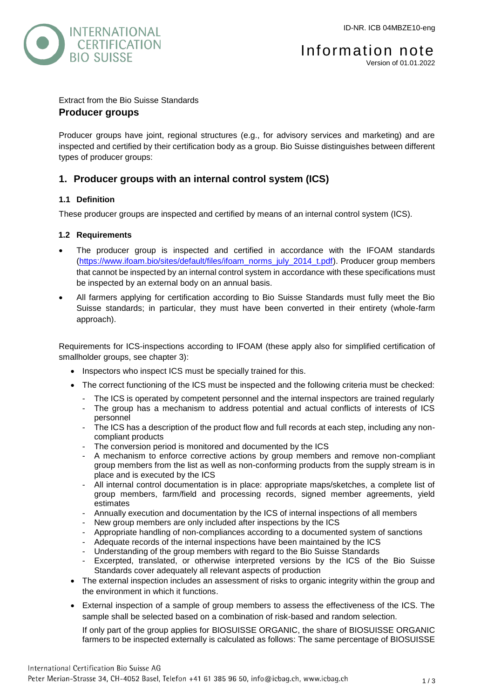

Information note Version of 01.01.2022

# Extract from the Bio Suisse Standards **Producer groups**

Producer groups have joint, regional structures (e.g., for advisory services and marketing) and are inspected and certified by their certification body as a group. Bio Suisse distinguishes between different types of producer groups:

# **1. Producer groups with an internal control system (ICS)**

# **1.1 Definition**

These producer groups are inspected and certified by means of an internal control system (ICS).

### **1.2 Requirements**

- The producer group is inspected and certified in accordance with the IFOAM standards [\(https://www.ifoam.bio/sites/default/files/ifoam\\_norms\\_july\\_2014\\_t.pdf\)](https://www.ifoam.bio/sites/default/files/ifoam_norms_july_2014_t.pdf). Producer group members that cannot be inspected by an internal control system in accordance with these specifications must be inspected by an external body on an annual basis.
- All farmers applying for certification according to Bio Suisse Standards must fully meet the Bio Suisse standards; in particular, they must have been converted in their entirety (whole-farm approach).

Requirements for ICS-inspections according to IFOAM (these apply also for simplified certification of smallholder groups, see chapter 3):

- Inspectors who inspect ICS must be specially trained for this.
- The correct functioning of the ICS must be inspected and the following criteria must be checked:
	- The ICS is operated by competent personnel and the internal inspectors are trained regularly
	- The group has a mechanism to address potential and actual conflicts of interests of ICS personnel
	- The ICS has a description of the product flow and full records at each step, including any noncompliant products
	- The conversion period is monitored and documented by the ICS
	- A mechanism to enforce corrective actions by group members and remove non-compliant group members from the list as well as non-conforming products from the supply stream is in place and is executed by the ICS
	- All internal control documentation is in place: appropriate maps/sketches, a complete list of group members, farm/field and processing records, signed member agreements, yield estimates
	- Annually execution and documentation by the ICS of internal inspections of all members
	- New group members are only included after inspections by the ICS
	- Appropriate handling of non-compliances according to a documented system of sanctions
	- Adequate records of the internal inspections have been maintained by the ICS
	- Understanding of the group members with regard to the Bio Suisse Standards
	- Excerpted, translated, or otherwise interpreted versions by the ICS of the Bio Suisse Standards cover adequately all relevant aspects of production
- The external inspection includes an assessment of risks to organic integrity within the group and the environment in which it functions.
- External inspection of a sample of group members to assess the effectiveness of the ICS. The sample shall be selected based on a combination of risk-based and random selection.

If only part of the group applies for BIOSUISSE ORGANIC, the share of BIOSUISSE ORGANIC farmers to be inspected externally is calculated as follows: The same percentage of BIOSUISSE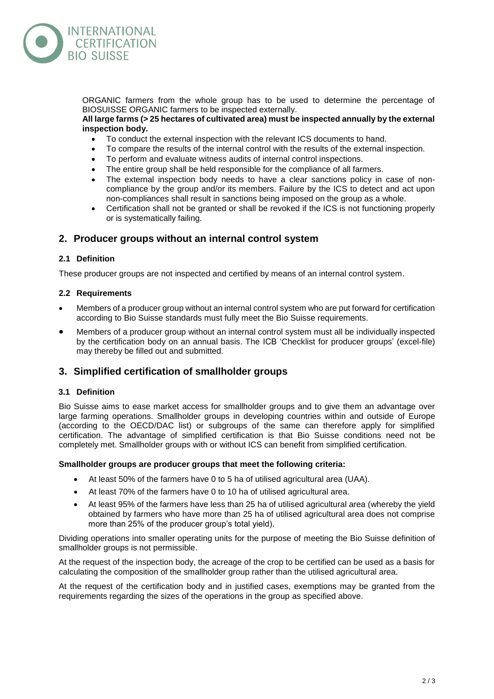

ORGANIC farmers from the whole group has to be used to determine the percentage of BIOSUISSE ORGANIC farmers to be inspected externally.

#### **All large farms (> 25 hectares of cultivated area) must be inspected annually by the external inspection body.**

- To conduct the external inspection with the relevant ICS documents to hand.
- To compare the results of the internal control with the results of the external inspection.
- To perform and evaluate witness audits of internal control inspections.
- The entire group shall be held responsible for the compliance of all farmers.
- The external inspection body needs to have a clear sanctions policy in case of noncompliance by the group and/or its members. Failure by the ICS to detect and act upon non-compliances shall result in sanctions being imposed on the group as a whole.
- Certification shall not be granted or shall be revoked if the ICS is not functioning properly or is systematically failing.

# **2. Producer groups without an internal control system**

### **2.1 Definition**

These producer groups are not inspected and certified by means of an internal control system.

#### **2.2 Requirements**

- Members of a producer group without an internal control system who are put forward for certification according to Bio Suisse standards must fully meet the Bio Suisse requirements.
- Members of a producer group without an internal control system must all be individually inspected by the certification body on an annual basis. The ICB 'Checklist for producer groups' (excel-file) may thereby be filled out and submitted.

# **3. Simplified certification of smallholder groups**

#### **3.1 Definition**

Bio Suisse aims to ease market access for smallholder groups and to give them an advantage over large farming operations. Smallholder groups in developing countries within and outside of Europe (according to the OECD/DAC list) or subgroups of the same can therefore apply for simplified certification. The advantage of simplified certification is that Bio Suisse conditions need not be completely met. Smallholder groups with or without ICS can benefit from simplified certification.

#### **Smallholder groups are producer groups that meet the following criteria:**

- At least 50% of the farmers have 0 to 5 ha of utilised agricultural area (UAA).
- At least 70% of the farmers have 0 to 10 ha of utilised agricultural area.
- At least 95% of the farmers have less than 25 ha of utilised agricultural area (whereby the yield obtained by farmers who have more than 25 ha of utilised agricultural area does not comprise more than 25% of the producer group's total yield).

Dividing operations into smaller operating units for the purpose of meeting the Bio Suisse definition of smallholder groups is not permissible.

At the request of the inspection body, the acreage of the crop to be certified can be used as a basis for calculating the composition of the smallholder group rather than the utilised agricultural area.

At the request of the certification body and in justified cases, exemptions may be granted from the requirements regarding the sizes of the operations in the group as specified above.